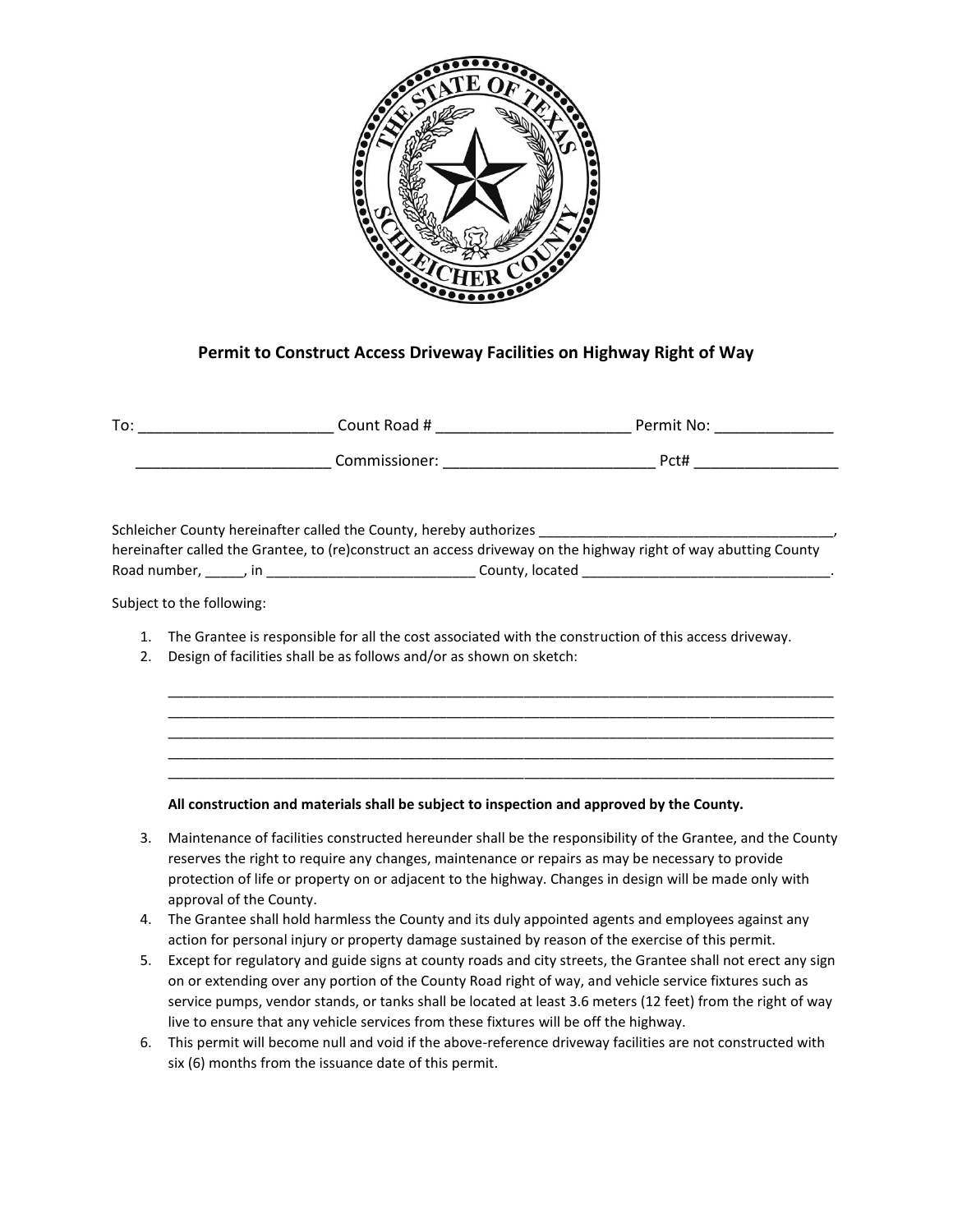

## **Permit to Construct Access Driveway Facilities on Highway Right of Way**

| To: | Count Road #  | Permit No: |
|-----|---------------|------------|
|     | Commissioner: | Pct#       |

Schleicher County hereinafter called the County, hereby authorizes hereinafter called the Grantee, to (re)construct an access driveway on the highway right of way abutting County Road number, \_\_\_\_\_, in \_\_\_\_\_\_\_\_\_\_\_\_\_\_\_\_\_\_\_\_\_\_\_\_\_\_\_ County, located \_\_\_\_\_\_\_\_\_\_\_\_\_\_\_\_\_\_\_\_\_\_\_\_\_\_\_\_\_\_\_\_.

Subject to the following:

1. The Grantee is responsible for all the cost associated with the construction of this access driveway.

\_\_\_\_\_\_\_\_\_\_\_\_\_\_\_\_\_\_\_\_\_\_\_\_\_\_\_\_\_\_\_\_\_\_\_\_\_\_\_\_\_\_\_\_\_\_\_\_\_\_\_\_\_\_\_\_\_\_\_\_\_\_\_\_\_\_\_\_\_\_\_\_\_\_\_\_\_\_\_\_\_\_\_\_\_\_ \_\_\_\_\_\_\_\_\_\_\_\_\_\_\_\_\_\_\_\_\_\_\_\_\_\_\_\_\_\_\_\_\_\_\_\_\_\_\_\_\_\_\_\_\_\_\_\_\_\_\_\_\_\_\_\_\_\_\_\_\_\_\_\_\_\_\_\_\_\_\_\_\_\_\_\_\_\_\_\_\_\_\_\_\_\_ \_\_\_\_\_\_\_\_\_\_\_\_\_\_\_\_\_\_\_\_\_\_\_\_\_\_\_\_\_\_\_\_\_\_\_\_\_\_\_\_\_\_\_\_\_\_\_\_\_\_\_\_\_\_\_\_\_\_\_\_\_\_\_\_\_\_\_\_\_\_\_\_\_\_\_\_\_\_\_\_\_\_\_\_\_\_ \_\_\_\_\_\_\_\_\_\_\_\_\_\_\_\_\_\_\_\_\_\_\_\_\_\_\_\_\_\_\_\_\_\_\_\_\_\_\_\_\_\_\_\_\_\_\_\_\_\_\_\_\_\_\_\_\_\_\_\_\_\_\_\_\_\_\_\_\_\_\_\_\_\_\_\_\_\_\_\_\_\_\_\_\_\_ \_\_\_\_\_\_\_\_\_\_\_\_\_\_\_\_\_\_\_\_\_\_\_\_\_\_\_\_\_\_\_\_\_\_\_\_\_\_\_\_\_\_\_\_\_\_\_\_\_\_\_\_\_\_\_\_\_\_\_\_\_\_\_\_\_\_\_\_\_\_\_\_\_\_\_\_\_\_\_\_\_\_\_\_\_\_

2. Design of facilities shall be as follows and/or as shown on sketch:

**All construction and materials shall be subject to inspection and approved by the County.** 

- 3. Maintenance of facilities constructed hereunder shall be the responsibility of the Grantee, and the County reserves the right to require any changes, maintenance or repairs as may be necessary to provide protection of life or property on or adjacent to the highway. Changes in design will be made only with approval of the County.
- 4. The Grantee shall hold harmless the County and its duly appointed agents and employees against any action for personal injury or property damage sustained by reason of the exercise of this permit.
- 5. Except for regulatory and guide signs at county roads and city streets, the Grantee shall not erect any sign on or extending over any portion of the County Road right of way, and vehicle service fixtures such as service pumps, vendor stands, or tanks shall be located at least 3.6 meters (12 feet) from the right of way live to ensure that any vehicle services from these fixtures will be off the highway.
- 6. This permit will become null and void if the above-reference driveway facilities are not constructed with six (6) months from the issuance date of this permit.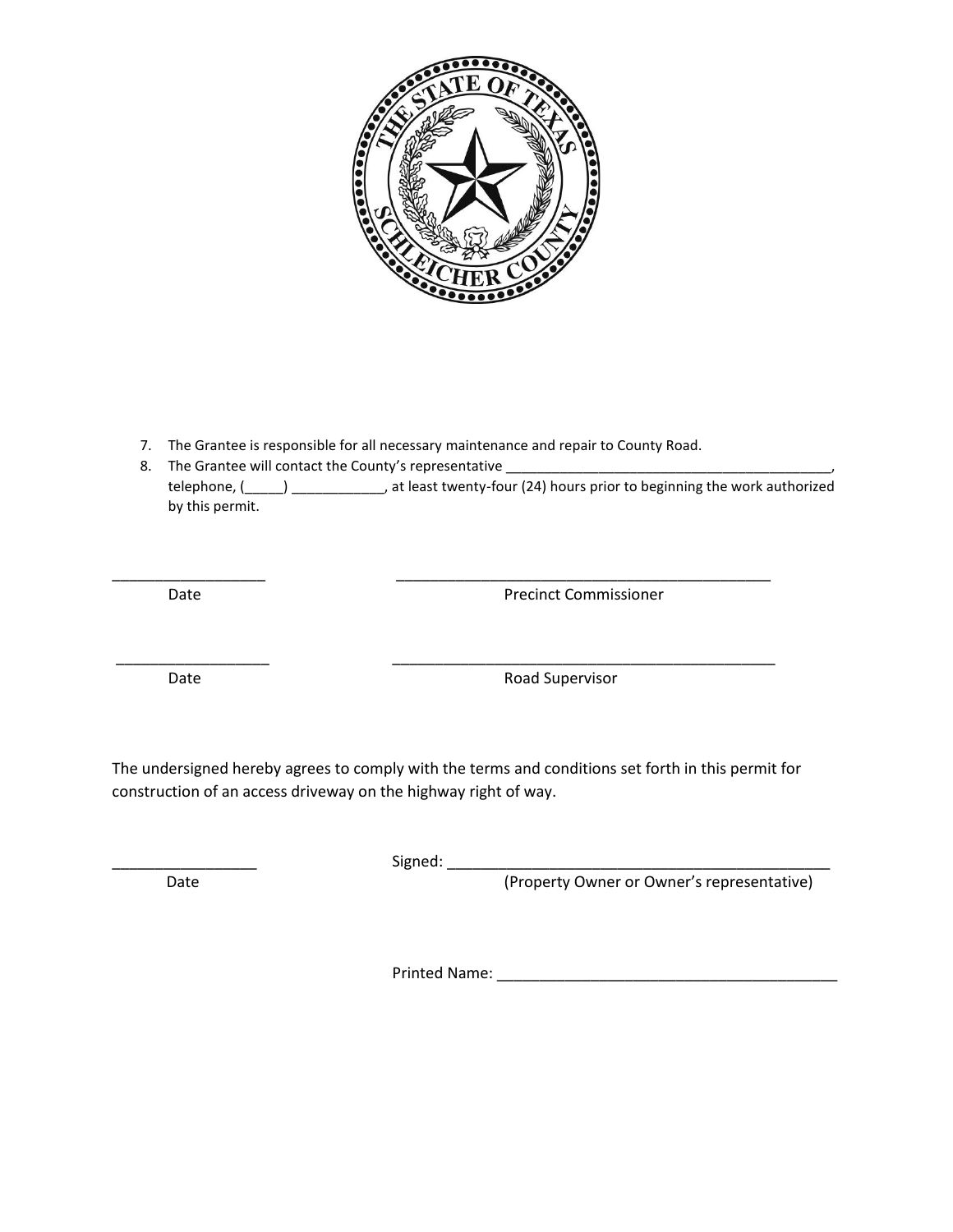

7. The Grantee is responsible for all necessary maintenance and repair to County Road.

\_\_\_\_\_\_\_\_\_\_\_\_\_\_\_\_\_\_ \_\_\_\_\_\_\_\_\_\_\_\_\_\_\_\_\_\_\_\_\_\_\_\_\_\_\_\_\_\_\_\_\_\_\_\_\_\_\_\_\_\_\_\_

\_\_\_\_\_\_\_\_\_\_\_\_\_\_\_\_\_\_ \_\_\_\_\_\_\_\_\_\_\_\_\_\_\_\_\_\_\_\_\_\_\_\_\_\_\_\_\_\_\_\_\_\_\_\_\_\_\_\_\_\_\_\_\_

8. The Grantee will contact the County's representative \_\_\_\_\_\_\_\_\_\_\_\_\_\_\_\_\_\_\_\_\_\_\_\_ telephone, (\_\_\_\_\_) \_\_\_\_\_\_\_\_\_\_\_\_, at least twenty-four (24) hours prior to beginning the work authorized by this permit.

Date **Date** Precinct Commissioner

Date **Date Road Supervisor** 

The undersigned hereby agrees to comply with the terms and conditions set forth in this permit for construction of an access driveway on the highway right of way.

\_\_\_\_\_\_\_\_\_\_\_\_\_\_\_\_\_ Signed: \_\_\_\_\_\_\_\_\_\_\_\_\_\_\_\_\_\_\_\_\_\_\_\_\_\_\_\_\_\_\_\_\_\_\_\_\_\_\_\_\_\_\_\_\_

Date **Contract Contract Contract Contract Contract Contract Contract Contract Contract Contract Contract Contract Contract Contract Contract Contract Contract Contract Contract Contract Contract Contract Contract Contract** 

Printed Name: \_\_\_\_\_\_\_\_\_\_\_\_\_\_\_\_\_\_\_\_\_\_\_\_\_\_\_\_\_\_\_\_\_\_\_\_\_\_\_\_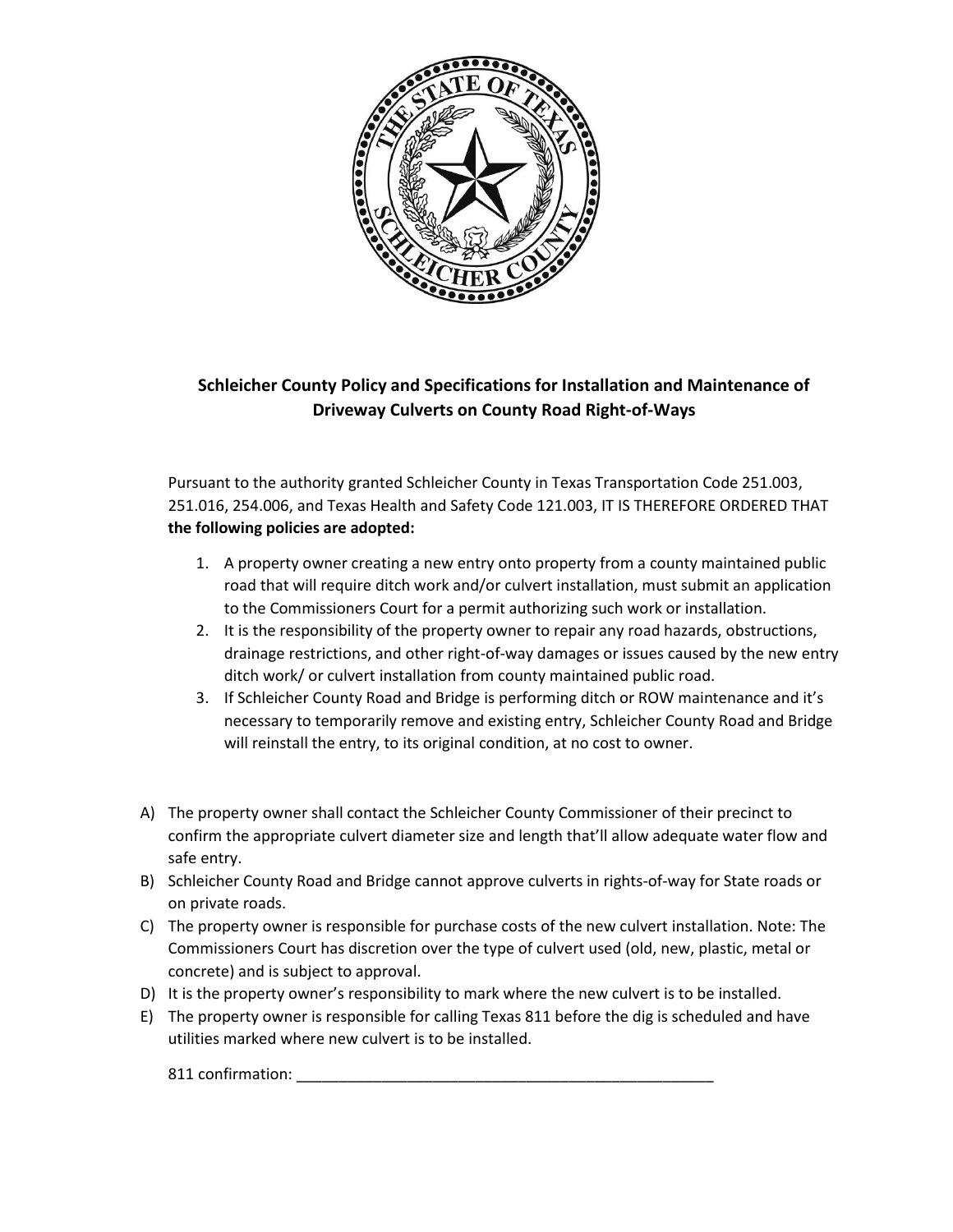

## **Schleicher County Policy and Specifications for Installation and Maintenance of Driveway Culverts on County Road Right-of-Ways**

Pursuant to the authority granted Schleicher County in Texas Transportation Code 251.003, 251.016, 254.006, and Texas Health and Safety Code 121.003, IT IS THEREFORE ORDERED THAT **the following policies are adopted:**

- 1. A property owner creating a new entry onto property from a county maintained public road that will require ditch work and/or culvert installation, must submit an application to the Commissioners Court for a permit authorizing such work or installation.
- 2. It is the responsibility of the property owner to repair any road hazards, obstructions, drainage restrictions, and other right-of-way damages or issues caused by the new entry ditch work/ or culvert installation from county maintained public road.
- 3. If Schleicher County Road and Bridge is performing ditch or ROW maintenance and it's necessary to temporarily remove and existing entry, Schleicher County Road and Bridge will reinstall the entry, to its original condition, at no cost to owner.
- A) The property owner shall contact the Schleicher County Commissioner of their precinct to confirm the appropriate culvert diameter size and length that'll allow adequate water flow and safe entry.
- B) Schleicher County Road and Bridge cannot approve culverts in rights-of-way for State roads or on private roads.
- C) The property owner is responsible for purchase costs of the new culvert installation. Note: The Commissioners Court has discretion over the type of culvert used (old, new, plastic, metal or concrete) and is subject to approval.
- D) It is the property owner's responsibility to mark where the new culvert is to be installed.
- E) The property owner is responsible for calling Texas 811 before the dig is scheduled and have utilities marked where new culvert is to be installed.

811 confirmation: